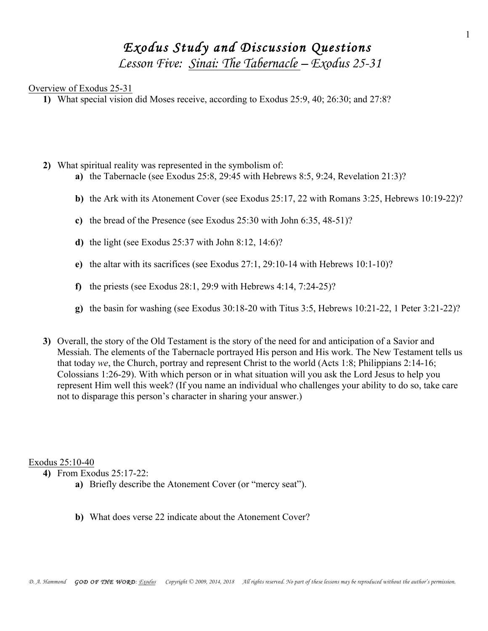# *Exodus Study and Discussion Questions Lesson Five: Sinai: The Tabernacle – Exodus 25-31*

## Overview of Exodus 25-31

**1)** What special vision did Moses receive, according to Exodus 25:9, 40; 26:30; and 27:8?

- **2)** What spiritual reality was represented in the symbolism of:
	- **a)** the Tabernacle (see Exodus 25:8, 29:45 with Hebrews 8:5, 9:24, Revelation 21:3)?
	- **b)** the Ark with its Atonement Cover (see Exodus 25:17, 22 with Romans 3:25, Hebrews 10:19-22)?
	- **c)** the bread of the Presence (see Exodus 25:30 with John 6:35, 48-51)?
	- **d)** the light (see Exodus 25:37 with John 8:12, 14:6)?
	- **e)** the altar with its sacrifices (see Exodus 27:1, 29:10-14 with Hebrews 10:1-10)?
	- **f)** the priests (see Exodus 28:1, 29:9 with Hebrews 4:14, 7:24-25)?
	- **g)** the basin for washing (see Exodus 30:18-20 with Titus 3:5, Hebrews 10:21-22, 1 Peter 3:21-22)?
- **3)** Overall, the story of the Old Testament is the story of the need for and anticipation of a Savior and Messiah. The elements of the Tabernacle portrayed His person and His work. The New Testament tells us that today *we*, the Church, portray and represent Christ to the world (Acts 1:8; Philippians 2:14-16; Colossians 1:26-29). With which person or in what situation will you ask the Lord Jesus to help you represent Him well this week? (If you name an individual who challenges your ability to do so, take care not to disparage this person's character in sharing your answer.)

Exodus 25:10-40

**4)** From Exodus 25:17-22:

- **a)** Briefly describe the Atonement Cover (or "mercy seat").
- **b)** What does verse 22 indicate about the Atonement Cover?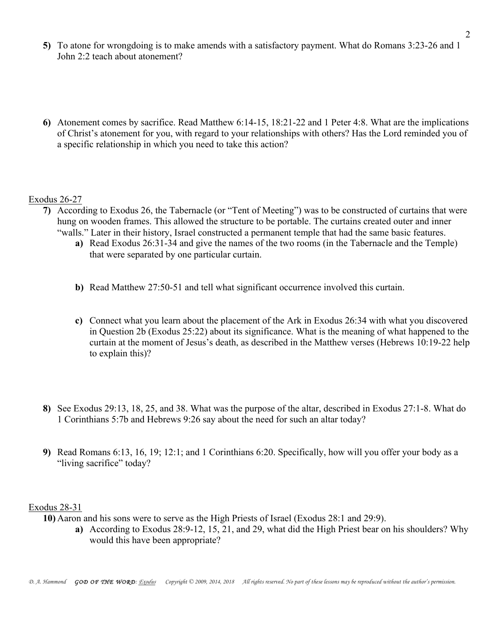- **5)** To atone for wrongdoing is to make amends with a satisfactory payment. What do Romans 3:23-26 and 1 John 2:2 teach about atonement?
- **6)** Atonement comes by sacrifice. Read Matthew 6:14-15, 18:21-22 and 1 Peter 4:8. What are the implications of Christ's atonement for you, with regard to your relationships with others? Has the Lord reminded you of a specific relationship in which you need to take this action?

# Exodus 26-27

- **7)** According to Exodus 26, the Tabernacle (or "Tent of Meeting") was to be constructed of curtains that were hung on wooden frames. This allowed the structure to be portable. The curtains created outer and inner "walls." Later in their history, Israel constructed a permanent temple that had the same basic features.
	- **a)** Read Exodus 26:31-34 and give the names of the two rooms (in the Tabernacle and the Temple) that were separated by one particular curtain.
	- **b)** Read Matthew 27:50-51 and tell what significant occurrence involved this curtain.
	- **c)** Connect what you learn about the placement of the Ark in Exodus 26:34 with what you discovered in Question 2b (Exodus 25:22) about its significance. What is the meaning of what happened to the curtain at the moment of Jesus's death, as described in the Matthew verses (Hebrews 10:19-22 help to explain this)?
- **8)** See Exodus 29:13, 18, 25, and 38. What was the purpose of the altar, described in Exodus 27:1-8. What do 1 Corinthians 5:7b and Hebrews 9:26 say about the need for such an altar today?
- **9)** Read Romans 6:13, 16, 19; 12:1; and 1 Corinthians 6:20. Specifically, how will you offer your body as a "living sacrifice" today?

#### Exodus 28-31

**10)** Aaron and his sons were to serve as the High Priests of Israel (Exodus 28:1 and 29:9).

**a)** According to Exodus 28:9-12, 15, 21, and 29, what did the High Priest bear on his shoulders? Why would this have been appropriate?